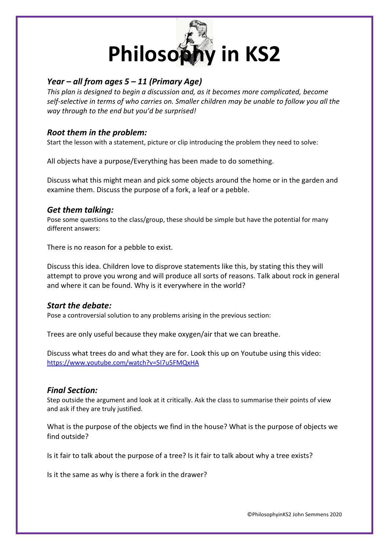

# *Year – all from ages 5 – 11 (Primary Age)*

*This plan is designed to begin a discussion and, as it becomes more complicated, become self-selective in terms of who carries on. Smaller children may be unable to follow you all the way through to the end but you'd be surprised!* 

# *Root them in the problem:*

Start the lesson with a statement, picture or clip introducing the problem they need to solve:

All objects have a purpose/Everything has been made to do something.

Discuss what this might mean and pick some objects around the home or in the garden and examine them. Discuss the purpose of a fork, a leaf or a pebble.

## *Get them talking:*

Pose some questions to the class/group, these should be simple but have the potential for many different answers:

There is no reason for a pebble to exist.

Discuss this idea. Children love to disprove statements like this, by stating this they will attempt to prove you wrong and will produce all sorts of reasons. Talk about rock in general and where it can be found. Why is it everywhere in the world?

## *Start the debate:*

Pose a controversial solution to any problems arising in the previous section:

Trees are only useful because they make oxygen/air that we can breathe.

Discuss what trees do and what they are for. Look this up on Youtube using this video: <https://www.youtube.com/watch?v=5I7u5FMQxHA>

### *Final Section:*

Step outside the argument and look at it critically. Ask the class to summarise their points of view and ask if they are truly justified.

What is the purpose of the objects we find in the house? What is the purpose of objects we find outside?

Is it fair to talk about the purpose of a tree? Is it fair to talk about why a tree exists?

Is it the same as why is there a fork in the drawer?

©PhilosophyinKS2 John Semmens 2020